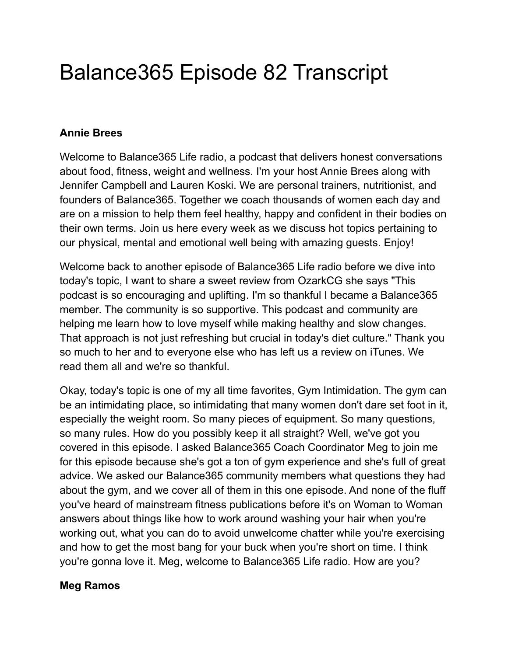# Balance365 Episode 82 Transcript

# **Annie Brees**

Welcome to Balance365 Life radio, a podcast that delivers honest conversations about food, fitness, weight and wellness. I'm your host Annie Brees along with Jennifer Campbell and Lauren Koski. We are personal trainers, nutritionist, and founders of Balance365. Together we coach thousands of women each day and are on a mission to help them feel healthy, happy and confident in their bodies on their own terms. Join us here every week as we discuss hot topics pertaining to our physical, mental and emotional well being with amazing guests. Enjoy!

Welcome back to another episode of Balance365 Life radio before we dive into today's topic, I want to share a sweet review from OzarkCG she says "This podcast is so encouraging and uplifting. I'm so thankful I became a Balance365 member. The community is so supportive. This podcast and community are helping me learn how to love myself while making healthy and slow changes. That approach is not just refreshing but crucial in today's diet culture." Thank you so much to her and to everyone else who has left us a review on iTunes. We read them all and we're so thankful.

Okay, today's topic is one of my all time favorites, Gym Intimidation. The gym can be an intimidating place, so intimidating that many women don't dare set foot in it, especially the weight room. So many pieces of equipment. So many questions, so many rules. How do you possibly keep it all straight? Well, we've got you covered in this episode. I asked Balance365 Coach Coordinator Meg to join me for this episode because she's got a ton of gym experience and she's full of great advice. We asked our Balance365 community members what questions they had about the gym, and we cover all of them in this one episode. And none of the fluff you've heard of mainstream fitness publications before it's on Woman to Woman answers about things like how to work around washing your hair when you're working out, what you can do to avoid unwelcome chatter while you're exercising and how to get the most bang for your buck when you're short on time. I think you're gonna love it. Meg, welcome to Balance365 Life radio. How are you?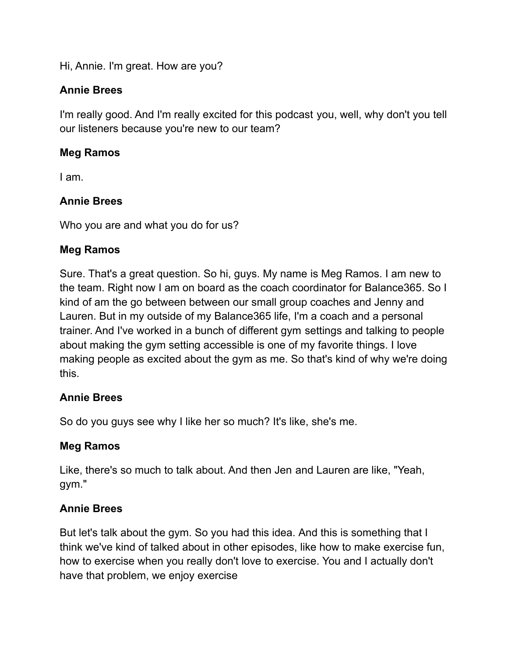Hi, Annie. I'm great. How are you?

# **Annie Brees**

I'm really good. And I'm really excited for this podcast you, well, why don't you tell our listeners because you're new to our team?

# **Meg Ramos**

I am.

# **Annie Brees**

Who you are and what you do for us?

# **Meg Ramos**

Sure. That's a great question. So hi, guys. My name is Meg Ramos. I am new to the team. Right now I am on board as the coach coordinator for Balance365. So I kind of am the go between between our small group coaches and Jenny and Lauren. But in my outside of my Balance365 life, I'm a coach and a personal trainer. And I've worked in a bunch of different gym settings and talking to people about making the gym setting accessible is one of my favorite things. I love making people as excited about the gym as me. So that's kind of why we're doing this.

## **Annie Brees**

So do you guys see why I like her so much? It's like, she's me.

## **Meg Ramos**

Like, there's so much to talk about. And then Jen and Lauren are like, "Yeah, gym."

# **Annie Brees**

But let's talk about the gym. So you had this idea. And this is something that I think we've kind of talked about in other episodes, like how to make exercise fun, how to exercise when you really don't love to exercise. You and I actually don't have that problem, we enjoy exercise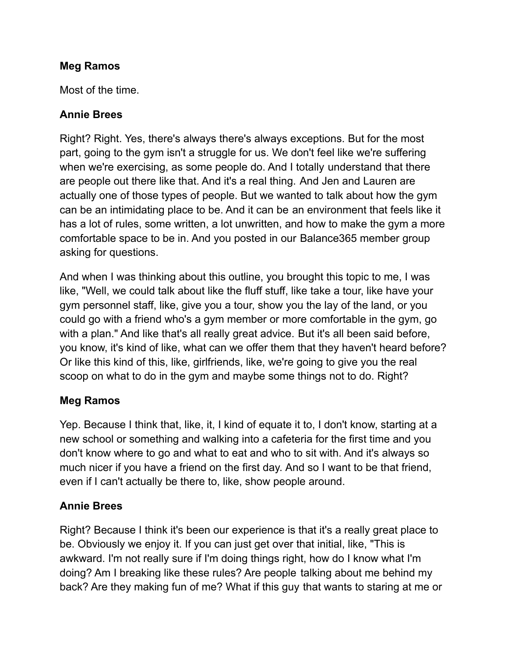#### **Meg Ramos**

Most of the time.

## **Annie Brees**

Right? Right. Yes, there's always there's always exceptions. But for the most part, going to the gym isn't a struggle for us. We don't feel like we're suffering when we're exercising, as some people do. And I totally understand that there are people out there like that. And it's a real thing. And Jen and Lauren are actually one of those types of people. But we wanted to talk about how the gym can be an intimidating place to be. And it can be an environment that feels like it has a lot of rules, some written, a lot unwritten, and how to make the gym a more comfortable space to be in. And you posted in our Balance365 member group asking for questions.

And when I was thinking about this outline, you brought this topic to me, I was like, "Well, we could talk about like the fluff stuff, like take a tour, like have your gym personnel staff, like, give you a tour, show you the lay of the land, or you could go with a friend who's a gym member or more comfortable in the gym, go with a plan." And like that's all really great advice. But it's all been said before, you know, it's kind of like, what can we offer them that they haven't heard before? Or like this kind of this, like, girlfriends, like, we're going to give you the real scoop on what to do in the gym and maybe some things not to do. Right?

## **Meg Ramos**

Yep. Because I think that, like, it, I kind of equate it to, I don't know, starting at a new school or something and walking into a cafeteria for the first time and you don't know where to go and what to eat and who to sit with. And it's always so much nicer if you have a friend on the first day. And so I want to be that friend, even if I can't actually be there to, like, show people around.

## **Annie Brees**

Right? Because I think it's been our experience is that it's a really great place to be. Obviously we enjoy it. If you can just get over that initial, like, "This is awkward. I'm not really sure if I'm doing things right, how do I know what I'm doing? Am I breaking like these rules? Are people talking about me behind my back? Are they making fun of me? What if this guy that wants to staring at me or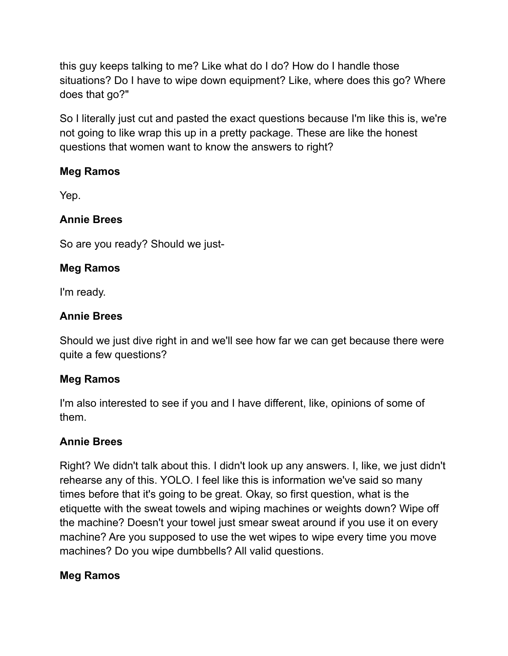this guy keeps talking to me? Like what do I do? How do I handle those situations? Do I have to wipe down equipment? Like, where does this go? Where does that go?"

So I literally just cut and pasted the exact questions because I'm like this is, we're not going to like wrap this up in a pretty package. These are like the honest questions that women want to know the answers to right?

# **Meg Ramos**

Yep.

# **Annie Brees**

So are you ready? Should we just-

# **Meg Ramos**

I'm ready.

# **Annie Brees**

Should we just dive right in and we'll see how far we can get because there were quite a few questions?

# **Meg Ramos**

I'm also interested to see if you and I have different, like, opinions of some of them.

# **Annie Brees**

Right? We didn't talk about this. I didn't look up any answers. I, like, we just didn't rehearse any of this. YOLO. I feel like this is information we've said so many times before that it's going to be great. Okay, so first question, what is the etiquette with the sweat towels and wiping machines or weights down? Wipe off the machine? Doesn't your towel just smear sweat around if you use it on every machine? Are you supposed to use the wet wipes to wipe every time you move machines? Do you wipe dumbbells? All valid questions.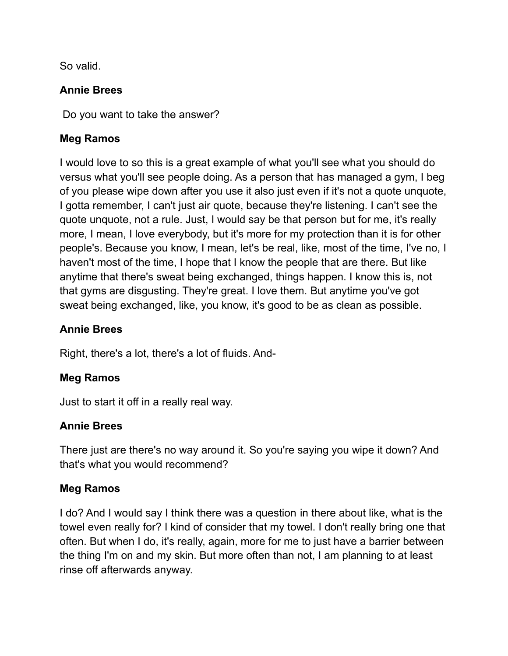So valid.

# **Annie Brees**

Do you want to take the answer?

# **Meg Ramos**

I would love to so this is a great example of what you'll see what you should do versus what you'll see people doing. As a person that has managed a gym, I beg of you please wipe down after you use it also just even if it's not a quote unquote, I gotta remember, I can't just air quote, because they're listening. I can't see the quote unquote, not a rule. Just, I would say be that person but for me, it's really more, I mean, I love everybody, but it's more for my protection than it is for other people's. Because you know, I mean, let's be real, like, most of the time, I've no, I haven't most of the time, I hope that I know the people that are there. But like anytime that there's sweat being exchanged, things happen. I know this is, not that gyms are disgusting. They're great. I love them. But anytime you've got sweat being exchanged, like, you know, it's good to be as clean as possible.

## **Annie Brees**

Right, there's a lot, there's a lot of fluids. And-

# **Meg Ramos**

Just to start it off in a really real way.

## **Annie Brees**

There just are there's no way around it. So you're saying you wipe it down? And that's what you would recommend?

# **Meg Ramos**

I do? And I would say I think there was a question in there about like, what is the towel even really for? I kind of consider that my towel. I don't really bring one that often. But when I do, it's really, again, more for me to just have a barrier between the thing I'm on and my skin. But more often than not, I am planning to at least rinse off afterwards anyway.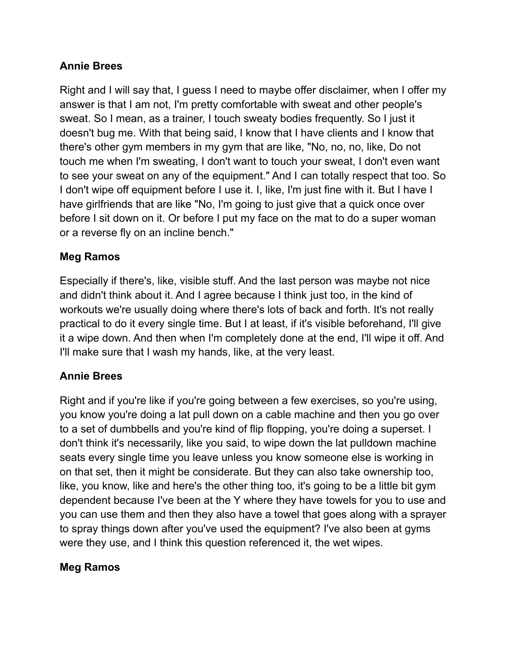## **Annie Brees**

Right and I will say that, I guess I need to maybe offer disclaimer, when I offer my answer is that I am not, I'm pretty comfortable with sweat and other people's sweat. So I mean, as a trainer, I touch sweaty bodies frequently. So I just it doesn't bug me. With that being said, I know that I have clients and I know that there's other gym members in my gym that are like, "No, no, no, like, Do not touch me when I'm sweating, I don't want to touch your sweat, I don't even want to see your sweat on any of the equipment." And I can totally respect that too. So I don't wipe off equipment before I use it. I, like, I'm just fine with it. But I have I have girlfriends that are like "No, I'm going to just give that a quick once over before I sit down on it. Or before I put my face on the mat to do a super woman or a reverse fly on an incline bench."

#### **Meg Ramos**

Especially if there's, like, visible stuff. And the last person was maybe not nice and didn't think about it. And I agree because I think just too, in the kind of workouts we're usually doing where there's lots of back and forth. It's not really practical to do it every single time. But I at least, if it's visible beforehand, I'll give it a wipe down. And then when I'm completely done at the end, I'll wipe it off. And I'll make sure that I wash my hands, like, at the very least.

## **Annie Brees**

Right and if you're like if you're going between a few exercises, so you're using, you know you're doing a lat pull down on a cable machine and then you go over to a set of dumbbells and you're kind of flip flopping, you're doing a superset. I don't think it's necessarily, like you said, to wipe down the lat pulldown machine seats every single time you leave unless you know someone else is working in on that set, then it might be considerate. But they can also take ownership too, like, you know, like and here's the other thing too, it's going to be a little bit gym dependent because I've been at the Y where they have towels for you to use and you can use them and then they also have a towel that goes along with a sprayer to spray things down after you've used the equipment? I've also been at gyms were they use, and I think this question referenced it, the wet wipes.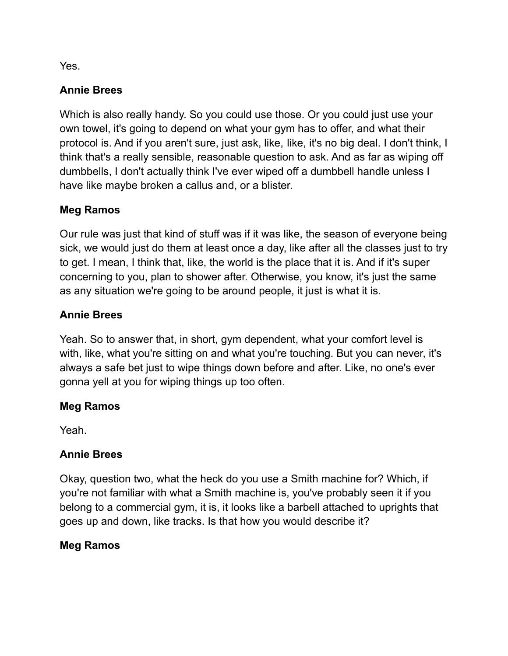Yes.

# **Annie Brees**

Which is also really handy. So you could use those. Or you could just use your own towel, it's going to depend on what your gym has to offer, and what their protocol is. And if you aren't sure, just ask, like, like, it's no big deal. I don't think, I think that's a really sensible, reasonable question to ask. And as far as wiping off dumbbells, I don't actually think I've ever wiped off a dumbbell handle unless I have like maybe broken a callus and, or a blister.

## **Meg Ramos**

Our rule was just that kind of stuff was if it was like, the season of everyone being sick, we would just do them at least once a day, like after all the classes just to try to get. I mean, I think that, like, the world is the place that it is. And if it's super concerning to you, plan to shower after. Otherwise, you know, it's just the same as any situation we're going to be around people, it just is what it is.

# **Annie Brees**

Yeah. So to answer that, in short, gym dependent, what your comfort level is with, like, what you're sitting on and what you're touching. But you can never, it's always a safe bet just to wipe things down before and after. Like, no one's ever gonna yell at you for wiping things up too often.

# **Meg Ramos**

Yeah.

## **Annie Brees**

Okay, question two, what the heck do you use a Smith machine for? Which, if you're not familiar with what a Smith machine is, you've probably seen it if you belong to a commercial gym, it is, it looks like a barbell attached to uprights that goes up and down, like tracks. Is that how you would describe it?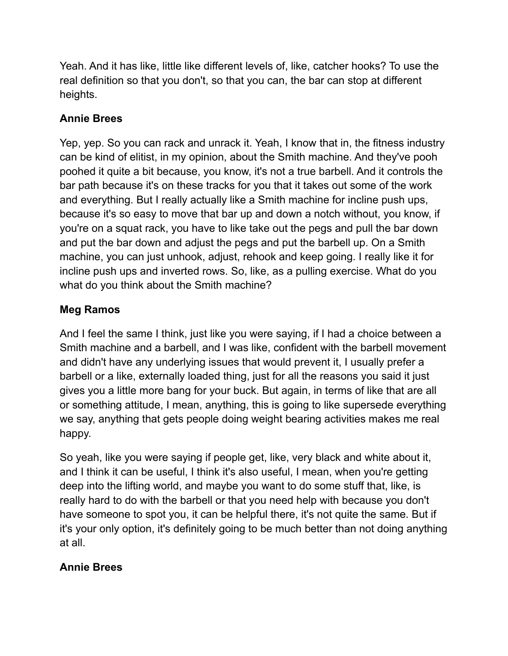Yeah. And it has like, little like different levels of, like, catcher hooks? To use the real definition so that you don't, so that you can, the bar can stop at different heights.

# **Annie Brees**

Yep, yep. So you can rack and unrack it. Yeah, I know that in, the fitness industry can be kind of elitist, in my opinion, about the Smith machine. And they've pooh poohed it quite a bit because, you know, it's not a true barbell. And it controls the bar path because it's on these tracks for you that it takes out some of the work and everything. But I really actually like a Smith machine for incline push ups, because it's so easy to move that bar up and down a notch without, you know, if you're on a squat rack, you have to like take out the pegs and pull the bar down and put the bar down and adjust the pegs and put the barbell up. On a Smith machine, you can just unhook, adjust, rehook and keep going. I really like it for incline push ups and inverted rows. So, like, as a pulling exercise. What do you what do you think about the Smith machine?

# **Meg Ramos**

And I feel the same I think, just like you were saying, if I had a choice between a Smith machine and a barbell, and I was like, confident with the barbell movement and didn't have any underlying issues that would prevent it, I usually prefer a barbell or a like, externally loaded thing, just for all the reasons you said it just gives you a little more bang for your buck. But again, in terms of like that are all or something attitude, I mean, anything, this is going to like supersede everything we say, anything that gets people doing weight bearing activities makes me real happy.

So yeah, like you were saying if people get, like, very black and white about it, and I think it can be useful, I think it's also useful, I mean, when you're getting deep into the lifting world, and maybe you want to do some stuff that, like, is really hard to do with the barbell or that you need help with because you don't have someone to spot you, it can be helpful there, it's not quite the same. But if it's your only option, it's definitely going to be much better than not doing anything at all.

## **Annie Brees**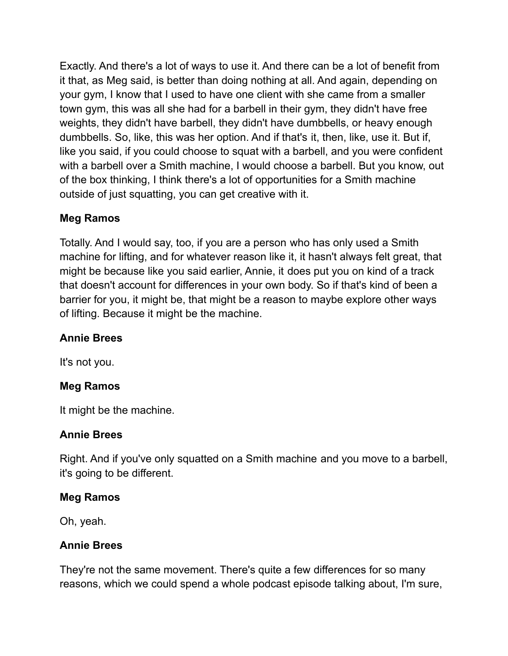Exactly. And there's a lot of ways to use it. And there can be a lot of benefit from it that, as Meg said, is better than doing nothing at all. And again, depending on your gym, I know that I used to have one client with she came from a smaller town gym, this was all she had for a barbell in their gym, they didn't have free weights, they didn't have barbell, they didn't have dumbbells, or heavy enough dumbbells. So, like, this was her option. And if that's it, then, like, use it. But if, like you said, if you could choose to squat with a barbell, and you were confident with a barbell over a Smith machine, I would choose a barbell. But you know, out of the box thinking, I think there's a lot of opportunities for a Smith machine outside of just squatting, you can get creative with it.

## **Meg Ramos**

Totally. And I would say, too, if you are a person who has only used a Smith machine for lifting, and for whatever reason like it, it hasn't always felt great, that might be because like you said earlier, Annie, it does put you on kind of a track that doesn't account for differences in your own body. So if that's kind of been a barrier for you, it might be, that might be a reason to maybe explore other ways of lifting. Because it might be the machine.

## **Annie Brees**

It's not you.

## **Meg Ramos**

It might be the machine.

#### **Annie Brees**

Right. And if you've only squatted on a Smith machine and you move to a barbell, it's going to be different.

#### **Meg Ramos**

Oh, yeah.

#### **Annie Brees**

They're not the same movement. There's quite a few differences for so many reasons, which we could spend a whole podcast episode talking about, I'm sure,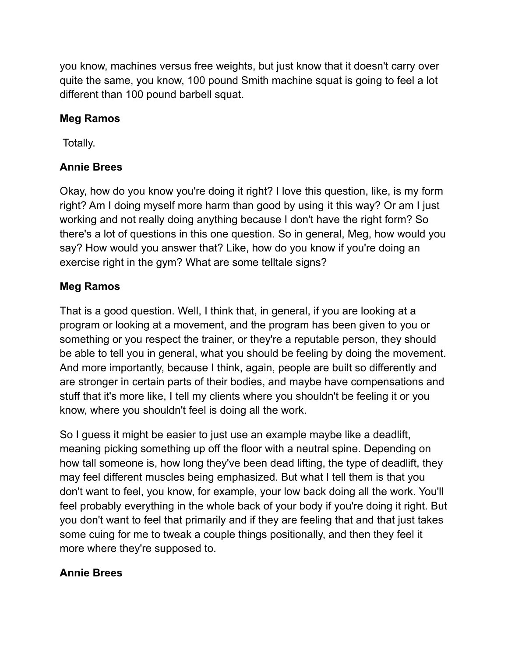you know, machines versus free weights, but just know that it doesn't carry over quite the same, you know, 100 pound Smith machine squat is going to feel a lot different than 100 pound barbell squat.

# **Meg Ramos**

Totally.

# **Annie Brees**

Okay, how do you know you're doing it right? I love this question, like, is my form right? Am I doing myself more harm than good by using it this way? Or am I just working and not really doing anything because I don't have the right form? So there's a lot of questions in this one question. So in general, Meg, how would you say? How would you answer that? Like, how do you know if you're doing an exercise right in the gym? What are some telltale signs?

## **Meg Ramos**

That is a good question. Well, I think that, in general, if you are looking at a program or looking at a movement, and the program has been given to you or something or you respect the trainer, or they're a reputable person, they should be able to tell you in general, what you should be feeling by doing the movement. And more importantly, because I think, again, people are built so differently and are stronger in certain parts of their bodies, and maybe have compensations and stuff that it's more like, I tell my clients where you shouldn't be feeling it or you know, where you shouldn't feel is doing all the work.

So I guess it might be easier to just use an example maybe like a deadlift, meaning picking something up off the floor with a neutral spine. Depending on how tall someone is, how long they've been dead lifting, the type of deadlift, they may feel different muscles being emphasized. But what I tell them is that you don't want to feel, you know, for example, your low back doing all the work. You'll feel probably everything in the whole back of your body if you're doing it right. But you don't want to feel that primarily and if they are feeling that and that just takes some cuing for me to tweak a couple things positionally, and then they feel it more where they're supposed to.

## **Annie Brees**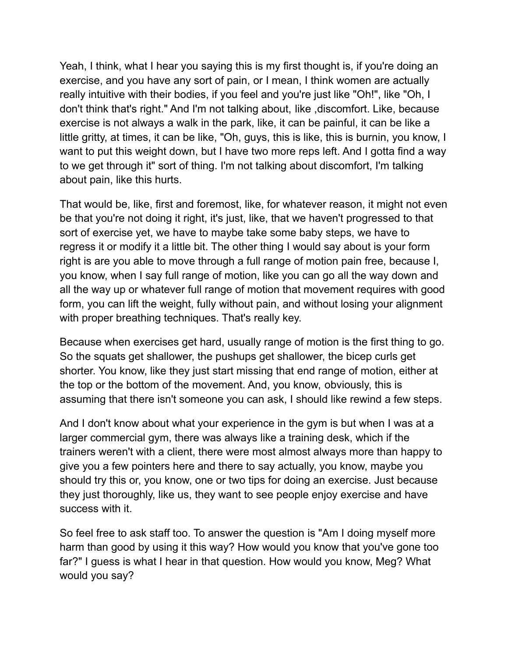Yeah, I think, what I hear you saying this is my first thought is, if you're doing an exercise, and you have any sort of pain, or I mean, I think women are actually really intuitive with their bodies, if you feel and you're just like "Oh!", like "Oh, I don't think that's right." And I'm not talking about, like ,discomfort. Like, because exercise is not always a walk in the park, like, it can be painful, it can be like a little gritty, at times, it can be like, "Oh, guys, this is like, this is burnin, you know, I want to put this weight down, but I have two more reps left. And I gotta find a way to we get through it" sort of thing. I'm not talking about discomfort, I'm talking about pain, like this hurts.

That would be, like, first and foremost, like, for whatever reason, it might not even be that you're not doing it right, it's just, like, that we haven't progressed to that sort of exercise yet, we have to maybe take some baby steps, we have to regress it or modify it a little bit. The other thing I would say about is your form right is are you able to move through a full range of motion pain free, because I, you know, when I say full range of motion, like you can go all the way down and all the way up or whatever full range of motion that movement requires with good form, you can lift the weight, fully without pain, and without losing your alignment with proper breathing techniques. That's really key.

Because when exercises get hard, usually range of motion is the first thing to go. So the squats get shallower, the pushups get shallower, the bicep curls get shorter. You know, like they just start missing that end range of motion, either at the top or the bottom of the movement. And, you know, obviously, this is assuming that there isn't someone you can ask, I should like rewind a few steps.

And I don't know about what your experience in the gym is but when I was at a larger commercial gym, there was always like a training desk, which if the trainers weren't with a client, there were most almost always more than happy to give you a few pointers here and there to say actually, you know, maybe you should try this or, you know, one or two tips for doing an exercise. Just because they just thoroughly, like us, they want to see people enjoy exercise and have success with it.

So feel free to ask staff too. To answer the question is "Am I doing myself more harm than good by using it this way? How would you know that you've gone too far?" I guess is what I hear in that question. How would you know, Meg? What would you say?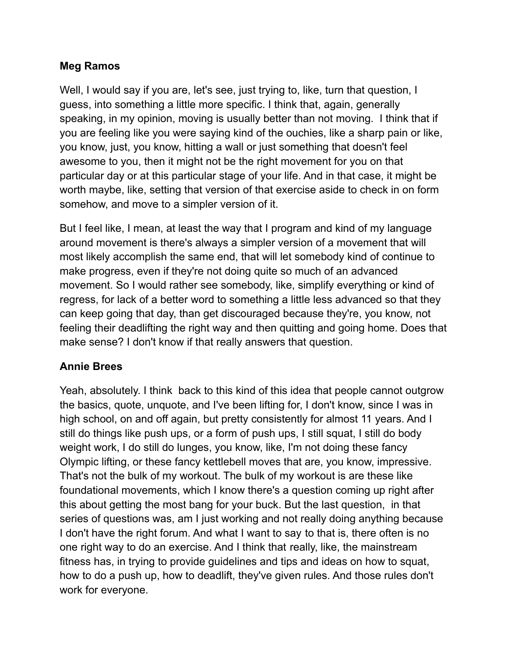#### **Meg Ramos**

Well, I would say if you are, let's see, just trying to, like, turn that question, I guess, into something a little more specific. I think that, again, generally speaking, in my opinion, moving is usually better than not moving. I think that if you are feeling like you were saying kind of the ouchies, like a sharp pain or like, you know, just, you know, hitting a wall or just something that doesn't feel awesome to you, then it might not be the right movement for you on that particular day or at this particular stage of your life. And in that case, it might be worth maybe, like, setting that version of that exercise aside to check in on form somehow, and move to a simpler version of it.

But I feel like, I mean, at least the way that I program and kind of my language around movement is there's always a simpler version of a movement that will most likely accomplish the same end, that will let somebody kind of continue to make progress, even if they're not doing quite so much of an advanced movement. So I would rather see somebody, like, simplify everything or kind of regress, for lack of a better word to something a little less advanced so that they can keep going that day, than get discouraged because they're, you know, not feeling their deadlifting the right way and then quitting and going home. Does that make sense? I don't know if that really answers that question.

## **Annie Brees**

Yeah, absolutely. I think back to this kind of this idea that people cannot outgrow the basics, quote, unquote, and I've been lifting for, I don't know, since I was in high school, on and off again, but pretty consistently for almost 11 years. And I still do things like push ups, or a form of push ups, I still squat, I still do body weight work, I do still do lunges, you know, like, I'm not doing these fancy Olympic lifting, or these fancy kettlebell moves that are, you know, impressive. That's not the bulk of my workout. The bulk of my workout is are these like foundational movements, which I know there's a question coming up right after this about getting the most bang for your buck. But the last question, in that series of questions was, am I just working and not really doing anything because I don't have the right forum. And what I want to say to that is, there often is no one right way to do an exercise. And I think that really, like, the mainstream fitness has, in trying to provide guidelines and tips and ideas on how to squat, how to do a push up, how to deadlift, they've given rules. And those rules don't work for everyone.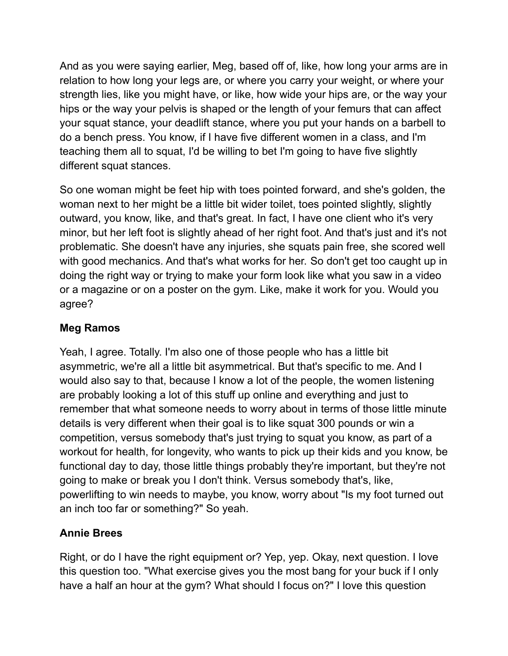And as you were saying earlier, Meg, based off of, like, how long your arms are in relation to how long your legs are, or where you carry your weight, or where your strength lies, like you might have, or like, how wide your hips are, or the way your hips or the way your pelvis is shaped or the length of your femurs that can affect your squat stance, your deadlift stance, where you put your hands on a barbell to do a bench press. You know, if I have five different women in a class, and I'm teaching them all to squat, I'd be willing to bet I'm going to have five slightly different squat stances.

So one woman might be feet hip with toes pointed forward, and she's golden, the woman next to her might be a little bit wider toilet, toes pointed slightly, slightly outward, you know, like, and that's great. In fact, I have one client who it's very minor, but her left foot is slightly ahead of her right foot. And that's just and it's not problematic. She doesn't have any injuries, she squats pain free, she scored well with good mechanics. And that's what works for her. So don't get too caught up in doing the right way or trying to make your form look like what you saw in a video or a magazine or on a poster on the gym. Like, make it work for you. Would you agree?

# **Meg Ramos**

Yeah, I agree. Totally. I'm also one of those people who has a little bit asymmetric, we're all a little bit asymmetrical. But that's specific to me. And I would also say to that, because I know a lot of the people, the women listening are probably looking a lot of this stuff up online and everything and just to remember that what someone needs to worry about in terms of those little minute details is very different when their goal is to like squat 300 pounds or win a competition, versus somebody that's just trying to squat you know, as part of a workout for health, for longevity, who wants to pick up their kids and you know, be functional day to day, those little things probably they're important, but they're not going to make or break you I don't think. Versus somebody that's, like, powerlifting to win needs to maybe, you know, worry about "Is my foot turned out an inch too far or something?" So yeah.

## **Annie Brees**

Right, or do I have the right equipment or? Yep, yep. Okay, next question. I love this question too. "What exercise gives you the most bang for your buck if I only have a half an hour at the gym? What should I focus on?" I love this question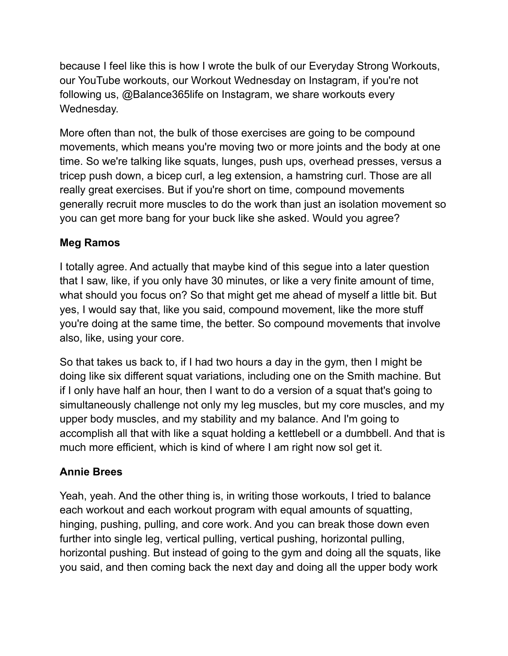because I feel like this is how I wrote the bulk of our Everyday Strong Workouts, our YouTube workouts, our Workout Wednesday on Instagram, if you're not following us, @Balance365life on Instagram, we share workouts every Wednesday.

More often than not, the bulk of those exercises are going to be compound movements, which means you're moving two or more joints and the body at one time. So we're talking like squats, lunges, push ups, overhead presses, versus a tricep push down, a bicep curl, a leg extension, a hamstring curl. Those are all really great exercises. But if you're short on time, compound movements generally recruit more muscles to do the work than just an isolation movement so you can get more bang for your buck like she asked. Would you agree?

# **Meg Ramos**

I totally agree. And actually that maybe kind of this segue into a later question that I saw, like, if you only have 30 minutes, or like a very finite amount of time, what should you focus on? So that might get me ahead of myself a little bit. But yes, I would say that, like you said, compound movement, like the more stuff you're doing at the same time, the better. So compound movements that involve also, like, using your core.

So that takes us back to, if I had two hours a day in the gym, then I might be doing like six different squat variations, including one on the Smith machine. But if I only have half an hour, then I want to do a version of a squat that's going to simultaneously challenge not only my leg muscles, but my core muscles, and my upper body muscles, and my stability and my balance. And I'm going to accomplish all that with like a squat holding a kettlebell or a dumbbell. And that is much more efficient, which is kind of where I am right now sol get it.

## **Annie Brees**

Yeah, yeah. And the other thing is, in writing those workouts, I tried to balance each workout and each workout program with equal amounts of squatting, hinging, pushing, pulling, and core work. And you can break those down even further into single leg, vertical pulling, vertical pushing, horizontal pulling, horizontal pushing. But instead of going to the gym and doing all the squats, like you said, and then coming back the next day and doing all the upper body work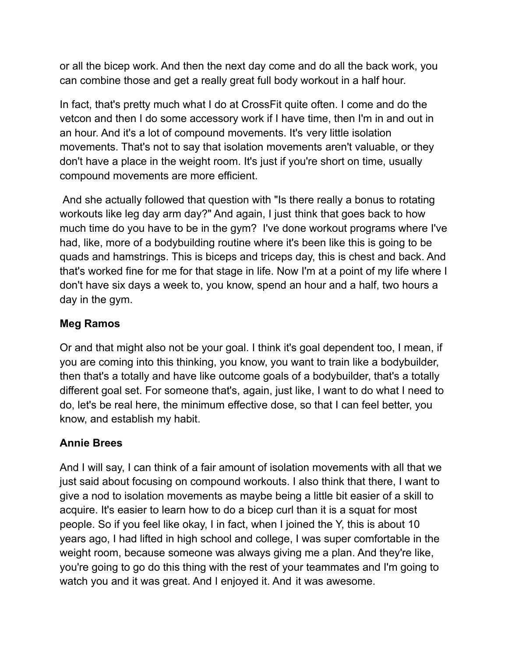or all the bicep work. And then the next day come and do all the back work, you can combine those and get a really great full body workout in a half hour.

In fact, that's pretty much what I do at CrossFit quite often. I come and do the vetcon and then I do some accessory work if I have time, then I'm in and out in an hour. And it's a lot of compound movements. It's very little isolation movements. That's not to say that isolation movements aren't valuable, or they don't have a place in the weight room. It's just if you're short on time, usually compound movements are more efficient.

And she actually followed that question with "Is there really a bonus to rotating workouts like leg day arm day?" And again, I just think that goes back to how much time do you have to be in the gym? I've done workout programs where I've had, like, more of a bodybuilding routine where it's been like this is going to be quads and hamstrings. This is biceps and triceps day, this is chest and back. And that's worked fine for me for that stage in life. Now I'm at a point of my life where I don't have six days a week to, you know, spend an hour and a half, two hours a day in the gym.

## **Meg Ramos**

Or and that might also not be your goal. I think it's goal dependent too, I mean, if you are coming into this thinking, you know, you want to train like a bodybuilder, then that's a totally and have like outcome goals of a bodybuilder, that's a totally different goal set. For someone that's, again, just like, I want to do what I need to do, let's be real here, the minimum effective dose, so that I can feel better, you know, and establish my habit.

## **Annie Brees**

And I will say, I can think of a fair amount of isolation movements with all that we just said about focusing on compound workouts. I also think that there, I want to give a nod to isolation movements as maybe being a little bit easier of a skill to acquire. It's easier to learn how to do a bicep curl than it is a squat for most people. So if you feel like okay, I in fact, when I joined the Y, this is about 10 years ago, I had lifted in high school and college, I was super comfortable in the weight room, because someone was always giving me a plan. And they're like, you're going to go do this thing with the rest of your teammates and I'm going to watch you and it was great. And I enjoyed it. And it was awesome.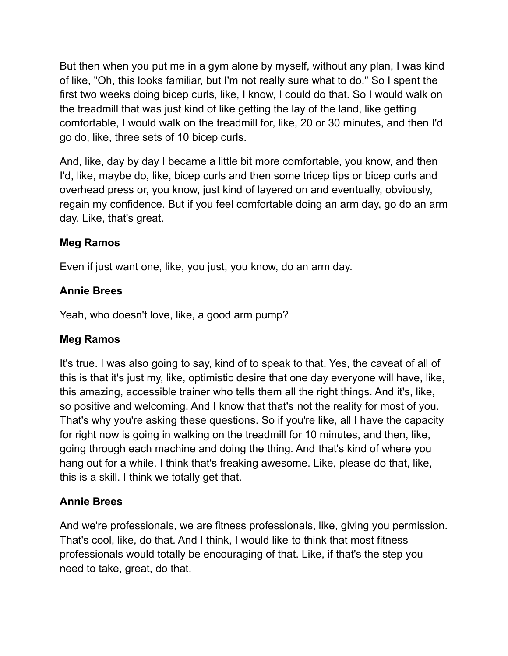But then when you put me in a gym alone by myself, without any plan, I was kind of like, "Oh, this looks familiar, but I'm not really sure what to do." So I spent the first two weeks doing bicep curls, like, I know, I could do that. So I would walk on the treadmill that was just kind of like getting the lay of the land, like getting comfortable, I would walk on the treadmill for, like, 20 or 30 minutes, and then I'd go do, like, three sets of 10 bicep curls.

And, like, day by day I became a little bit more comfortable, you know, and then I'd, like, maybe do, like, bicep curls and then some tricep tips or bicep curls and overhead press or, you know, just kind of layered on and eventually, obviously, regain my confidence. But if you feel comfortable doing an arm day, go do an arm day. Like, that's great.

# **Meg Ramos**

Even if just want one, like, you just, you know, do an arm day.

# **Annie Brees**

Yeah, who doesn't love, like, a good arm pump?

## **Meg Ramos**

It's true. I was also going to say, kind of to speak to that. Yes, the caveat of all of this is that it's just my, like, optimistic desire that one day everyone will have, like, this amazing, accessible trainer who tells them all the right things. And it's, like, so positive and welcoming. And I know that that's not the reality for most of you. That's why you're asking these questions. So if you're like, all I have the capacity for right now is going in walking on the treadmill for 10 minutes, and then, like, going through each machine and doing the thing. And that's kind of where you hang out for a while. I think that's freaking awesome. Like, please do that, like, this is a skill. I think we totally get that.

## **Annie Brees**

And we're professionals, we are fitness professionals, like, giving you permission. That's cool, like, do that. And I think, I would like to think that most fitness professionals would totally be encouraging of that. Like, if that's the step you need to take, great, do that.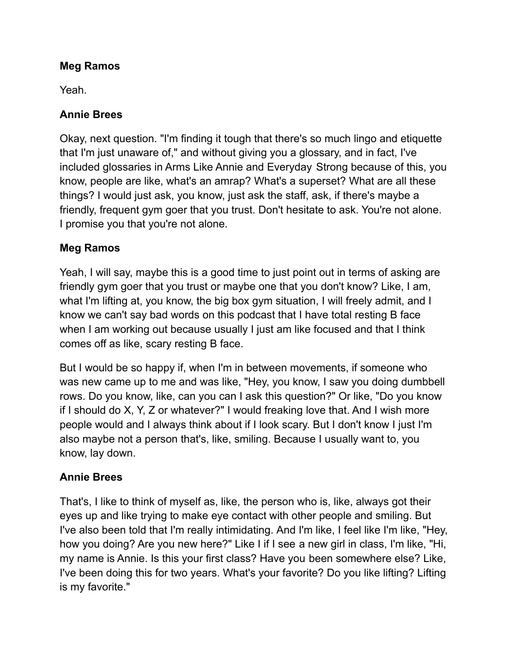## **Meg Ramos**

Yeah.

# **Annie Brees**

Okay, next question. "I'm finding it tough that there's so much lingo and etiquette that I'm just unaware of," and without giving you a glossary, and in fact, I've included glossaries in Arms Like Annie and Everyday Strong because of this, you know, people are like, what's an amrap? What's a superset? What are all these things? I would just ask, you know, just ask the staff, ask, if there's maybe a friendly, frequent gym goer that you trust. Don't hesitate to ask. You're not alone. I promise you that you're not alone.

# **Meg Ramos**

Yeah, I will say, maybe this is a good time to just point out in terms of asking are friendly gym goer that you trust or maybe one that you don't know? Like, I am, what I'm lifting at, you know, the big box gym situation, I will freely admit, and I know we can't say bad words on this podcast that I have total resting B face when I am working out because usually I just am like focused and that I think comes off as like, scary resting B face.

But I would be so happy if, when I'm in between movements, if someone who was new came up to me and was like, "Hey, you know, I saw you doing dumbbell rows. Do you know, like, can you can I ask this question?" Or like, "Do you know if I should do X, Y, Z or whatever?" I would freaking love that. And I wish more people would and I always think about if I look scary. But I don't know I just I'm also maybe not a person that's, like, smiling. Because I usually want to, you know, lay down.

# **Annie Brees**

That's, I like to think of myself as, like, the person who is, like, always got their eyes up and like trying to make eye contact with other people and smiling. But I've also been told that I'm really intimidating. And I'm like, I feel like I'm like, "Hey, how you doing? Are you new here?" Like I if I see a new girl in class, I'm like, "Hi, my name is Annie. Is this your first class? Have you been somewhere else? Like, I've been doing this for two years. What's your favorite? Do you like lifting? Lifting is my favorite."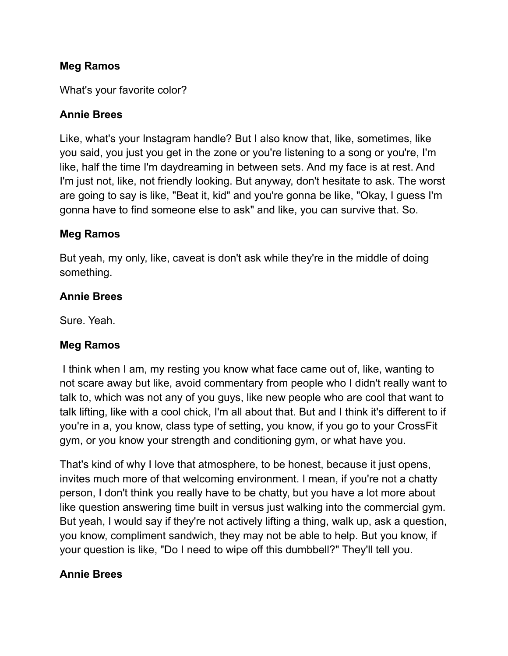#### **Meg Ramos**

What's your favorite color?

#### **Annie Brees**

Like, what's your Instagram handle? But I also know that, like, sometimes, like you said, you just you get in the zone or you're listening to a song or you're, I'm like, half the time I'm daydreaming in between sets. And my face is at rest. And I'm just not, like, not friendly looking. But anyway, don't hesitate to ask. The worst are going to say is like, "Beat it, kid" and you're gonna be like, "Okay, I guess I'm gonna have to find someone else to ask" and like, you can survive that. So.

#### **Meg Ramos**

But yeah, my only, like, caveat is don't ask while they're in the middle of doing something.

#### **Annie Brees**

Sure. Yeah.

#### **Meg Ramos**

I think when I am, my resting you know what face came out of, like, wanting to not scare away but like, avoid commentary from people who I didn't really want to talk to, which was not any of you guys, like new people who are cool that want to talk lifting, like with a cool chick, I'm all about that. But and I think it's different to if you're in a, you know, class type of setting, you know, if you go to your CrossFit gym, or you know your strength and conditioning gym, or what have you.

That's kind of why I love that atmosphere, to be honest, because it just opens, invites much more of that welcoming environment. I mean, if you're not a chatty person, I don't think you really have to be chatty, but you have a lot more about like question answering time built in versus just walking into the commercial gym. But yeah, I would say if they're not actively lifting a thing, walk up, ask a question, you know, compliment sandwich, they may not be able to help. But you know, if your question is like, "Do I need to wipe off this dumbbell?" They'll tell you.

## **Annie Brees**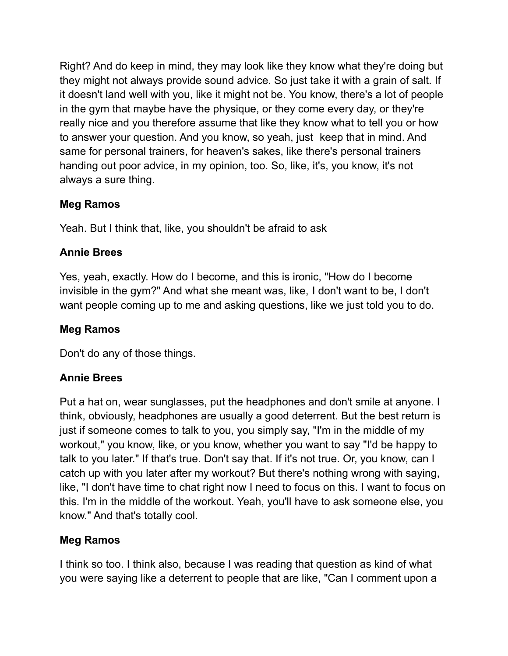Right? And do keep in mind, they may look like they know what they're doing but they might not always provide sound advice. So just take it with a grain of salt. If it doesn't land well with you, like it might not be. You know, there's a lot of people in the gym that maybe have the physique, or they come every day, or they're really nice and you therefore assume that like they know what to tell you or how to answer your question. And you know, so yeah, just keep that in mind. And same for personal trainers, for heaven's sakes, like there's personal trainers handing out poor advice, in my opinion, too. So, like, it's, you know, it's not always a sure thing.

# **Meg Ramos**

Yeah. But I think that, like, you shouldn't be afraid to ask

# **Annie Brees**

Yes, yeah, exactly. How do I become, and this is ironic, "How do I become invisible in the gym?" And what she meant was, like, I don't want to be, I don't want people coming up to me and asking questions, like we just told you to do.

# **Meg Ramos**

Don't do any of those things.

# **Annie Brees**

Put a hat on, wear sunglasses, put the headphones and don't smile at anyone. I think, obviously, headphones are usually a good deterrent. But the best return is just if someone comes to talk to you, you simply say, "I'm in the middle of my workout," you know, like, or you know, whether you want to say "I'd be happy to talk to you later." If that's true. Don't say that. If it's not true. Or, you know, can I catch up with you later after my workout? But there's nothing wrong with saying, like, "I don't have time to chat right now I need to focus on this. I want to focus on this. I'm in the middle of the workout. Yeah, you'll have to ask someone else, you know." And that's totally cool.

## **Meg Ramos**

I think so too. I think also, because I was reading that question as kind of what you were saying like a deterrent to people that are like, "Can I comment upon a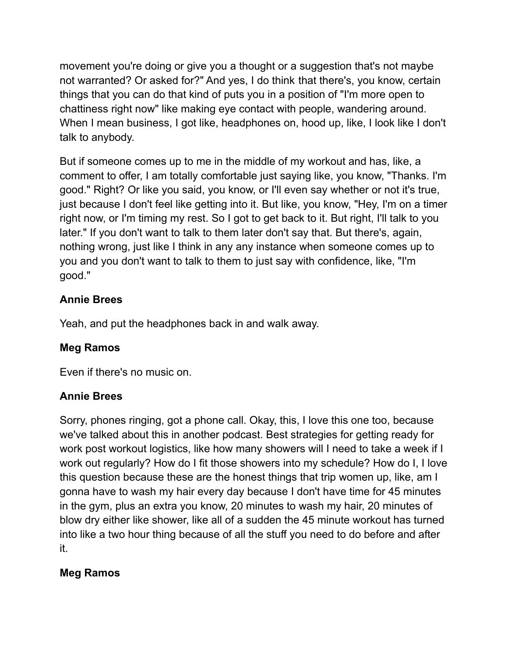movement you're doing or give you a thought or a suggestion that's not maybe not warranted? Or asked for?" And yes, I do think that there's, you know, certain things that you can do that kind of puts you in a position of "I'm more open to chattiness right now" like making eye contact with people, wandering around. When I mean business, I got like, headphones on, hood up, like, I look like I don't talk to anybody.

But if someone comes up to me in the middle of my workout and has, like, a comment to offer, I am totally comfortable just saying like, you know, "Thanks. I'm good." Right? Or like you said, you know, or I'll even say whether or not it's true, just because I don't feel like getting into it. But like, you know, "Hey, I'm on a timer right now, or I'm timing my rest. So I got to get back to it. But right, I'll talk to you later." If you don't want to talk to them later don't say that. But there's, again, nothing wrong, just like I think in any any instance when someone comes up to you and you don't want to talk to them to just say with confidence, like, "I'm good."

# **Annie Brees**

Yeah, and put the headphones back in and walk away.

# **Meg Ramos**

Even if there's no music on.

# **Annie Brees**

Sorry, phones ringing, got a phone call. Okay, this, I love this one too, because we've talked about this in another podcast. Best strategies for getting ready for work post workout logistics, like how many showers will I need to take a week if I work out regularly? How do I fit those showers into my schedule? How do I, I love this question because these are the honest things that trip women up, like, am I gonna have to wash my hair every day because I don't have time for 45 minutes in the gym, plus an extra you know, 20 minutes to wash my hair, 20 minutes of blow dry either like shower, like all of a sudden the 45 minute workout has turned into like a two hour thing because of all the stuff you need to do before and after it.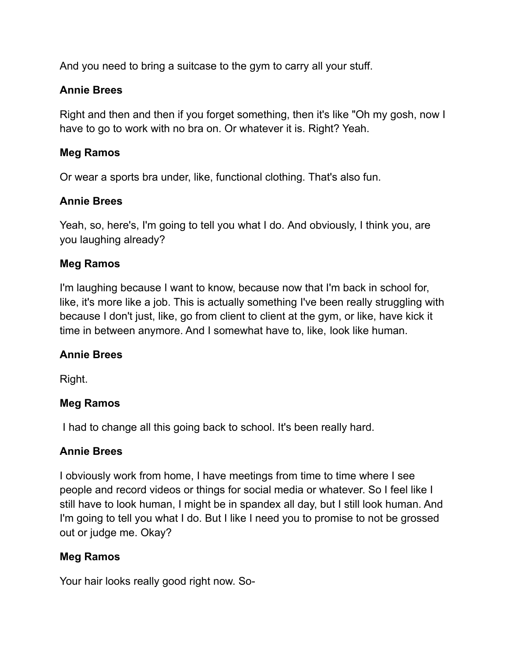And you need to bring a suitcase to the gym to carry all your stuff.

#### **Annie Brees**

Right and then and then if you forget something, then it's like "Oh my gosh, now I have to go to work with no bra on. Or whatever it is. Right? Yeah.

#### **Meg Ramos**

Or wear a sports bra under, like, functional clothing. That's also fun.

## **Annie Brees**

Yeah, so, here's, I'm going to tell you what I do. And obviously, I think you, are you laughing already?

#### **Meg Ramos**

I'm laughing because I want to know, because now that I'm back in school for, like, it's more like a job. This is actually something I've been really struggling with because I don't just, like, go from client to client at the gym, or like, have kick it time in between anymore. And I somewhat have to, like, look like human.

## **Annie Brees**

Right.

#### **Meg Ramos**

I had to change all this going back to school. It's been really hard.

#### **Annie Brees**

I obviously work from home, I have meetings from time to time where I see people and record videos or things for social media or whatever. So I feel like I still have to look human, I might be in spandex all day, but I still look human. And I'm going to tell you what I do. But I like I need you to promise to not be grossed out or judge me. Okay?

## **Meg Ramos**

Your hair looks really good right now. So-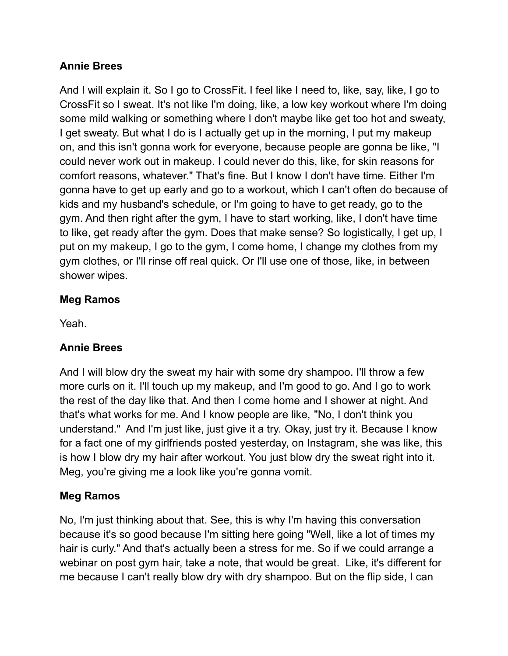## **Annie Brees**

And I will explain it. So I go to CrossFit. I feel like I need to, like, say, like, I go to CrossFit so I sweat. It's not like I'm doing, like, a low key workout where I'm doing some mild walking or something where I don't maybe like get too hot and sweaty, I get sweaty. But what I do is I actually get up in the morning, I put my makeup on, and this isn't gonna work for everyone, because people are gonna be like, "I could never work out in makeup. I could never do this, like, for skin reasons for comfort reasons, whatever." That's fine. But I know I don't have time. Either I'm gonna have to get up early and go to a workout, which I can't often do because of kids and my husband's schedule, or I'm going to have to get ready, go to the gym. And then right after the gym, I have to start working, like, I don't have time to like, get ready after the gym. Does that make sense? So logistically, I get up, I put on my makeup, I go to the gym, I come home, I change my clothes from my gym clothes, or I'll rinse off real quick. Or I'll use one of those, like, in between shower wipes.

# **Meg Ramos**

Yeah.

# **Annie Brees**

And I will blow dry the sweat my hair with some dry shampoo. I'll throw a few more curls on it. I'll touch up my makeup, and I'm good to go. And I go to work the rest of the day like that. And then I come home and I shower at night. And that's what works for me. And I know people are like, "No, I don't think you understand." And I'm just like, just give it a try. Okay, just try it. Because I know for a fact one of my girlfriends posted yesterday, on Instagram, she was like, this is how I blow dry my hair after workout. You just blow dry the sweat right into it. Meg, you're giving me a look like you're gonna vomit.

# **Meg Ramos**

No, I'm just thinking about that. See, this is why I'm having this conversation because it's so good because I'm sitting here going "Well, like a lot of times my hair is curly." And that's actually been a stress for me. So if we could arrange a webinar on post gym hair, take a note, that would be great. Like, it's different for me because I can't really blow dry with dry shampoo. But on the flip side, I can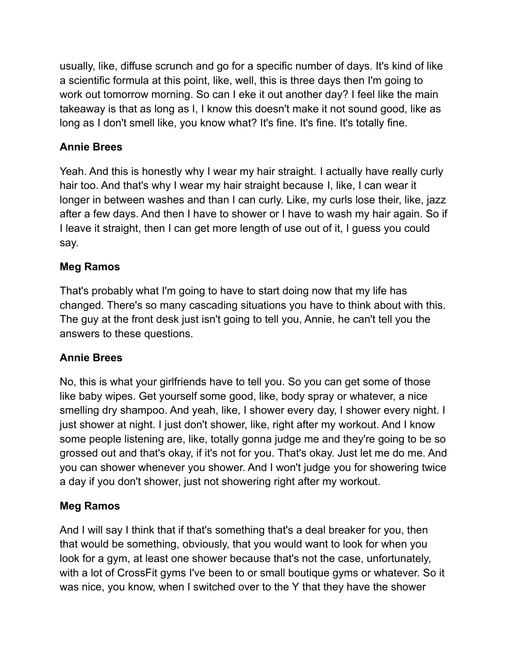usually, like, diffuse scrunch and go for a specific number of days. It's kind of like a scientific formula at this point, like, well, this is three days then I'm going to work out tomorrow morning. So can I eke it out another day? I feel like the main takeaway is that as long as I, I know this doesn't make it not sound good, like as long as I don't smell like, you know what? It's fine. It's fine. It's totally fine.

# **Annie Brees**

Yeah. And this is honestly why I wear my hair straight. I actually have really curly hair too. And that's why I wear my hair straight because I, like, I can wear it longer in between washes and than I can curly. Like, my curls lose their, like, jazz after a few days. And then I have to shower or I have to wash my hair again. So if I leave it straight, then I can get more length of use out of it, I guess you could say.

# **Meg Ramos**

That's probably what I'm going to have to start doing now that my life has changed. There's so many cascading situations you have to think about with this. The guy at the front desk just isn't going to tell you, Annie, he can't tell you the answers to these questions.

# **Annie Brees**

No, this is what your girlfriends have to tell you. So you can get some of those like baby wipes. Get yourself some good, like, body spray or whatever, a nice smelling dry shampoo. And yeah, like, I shower every day, I shower every night. I just shower at night. I just don't shower, like, right after my workout. And I know some people listening are, like, totally gonna judge me and they're going to be so grossed out and that's okay, if it's not for you. That's okay. Just let me do me. And you can shower whenever you shower. And I won't judge you for showering twice a day if you don't shower, just not showering right after my workout.

# **Meg Ramos**

And I will say I think that if that's something that's a deal breaker for you, then that would be something, obviously, that you would want to look for when you look for a gym, at least one shower because that's not the case, unfortunately, with a lot of CrossFit gyms I've been to or small boutique gyms or whatever. So it was nice, you know, when I switched over to the Y that they have the shower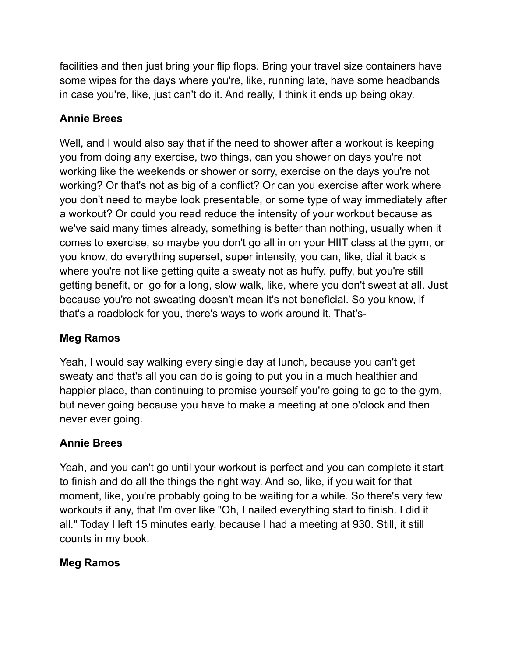facilities and then just bring your flip flops. Bring your travel size containers have some wipes for the days where you're, like, running late, have some headbands in case you're, like, just can't do it. And really, I think it ends up being okay.

# **Annie Brees**

Well, and I would also say that if the need to shower after a workout is keeping you from doing any exercise, two things, can you shower on days you're not working like the weekends or shower or sorry, exercise on the days you're not working? Or that's not as big of a conflict? Or can you exercise after work where you don't need to maybe look presentable, or some type of way immediately after a workout? Or could you read reduce the intensity of your workout because as we've said many times already, something is better than nothing, usually when it comes to exercise, so maybe you don't go all in on your HIIT class at the gym, or you know, do everything superset, super intensity, you can, like, dial it back s where you're not like getting quite a sweaty not as huffy, puffy, but you're still getting benefit, or go for a long, slow walk, like, where you don't sweat at all. Just because you're not sweating doesn't mean it's not beneficial. So you know, if that's a roadblock for you, there's ways to work around it. That's-

# **Meg Ramos**

Yeah, I would say walking every single day at lunch, because you can't get sweaty and that's all you can do is going to put you in a much healthier and happier place, than continuing to promise yourself you're going to go to the gym, but never going because you have to make a meeting at one o'clock and then never ever going.

# **Annie Brees**

Yeah, and you can't go until your workout is perfect and you can complete it start to finish and do all the things the right way. And so, like, if you wait for that moment, like, you're probably going to be waiting for a while. So there's very few workouts if any, that I'm over like "Oh, I nailed everything start to finish. I did it all." Today I left 15 minutes early, because I had a meeting at 930. Still, it still counts in my book.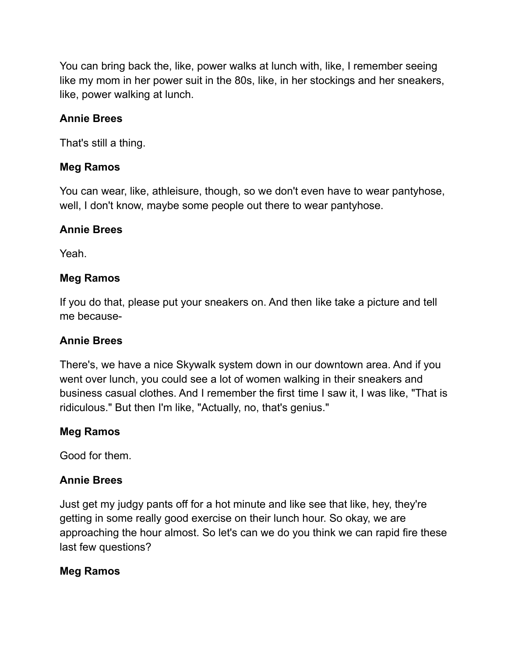You can bring back the, like, power walks at lunch with, like, I remember seeing like my mom in her power suit in the 80s, like, in her stockings and her sneakers, like, power walking at lunch.

## **Annie Brees**

That's still a thing.

#### **Meg Ramos**

You can wear, like, athleisure, though, so we don't even have to wear pantyhose, well, I don't know, maybe some people out there to wear pantyhose.

#### **Annie Brees**

Yeah.

#### **Meg Ramos**

If you do that, please put your sneakers on. And then like take a picture and tell me because-

#### **Annie Brees**

There's, we have a nice Skywalk system down in our downtown area. And if you went over lunch, you could see a lot of women walking in their sneakers and business casual clothes. And I remember the first time I saw it, I was like, "That is ridiculous." But then I'm like, "Actually, no, that's genius."

#### **Meg Ramos**

Good for them.

## **Annie Brees**

Just get my judgy pants off for a hot minute and like see that like, hey, they're getting in some really good exercise on their lunch hour. So okay, we are approaching the hour almost. So let's can we do you think we can rapid fire these last few questions?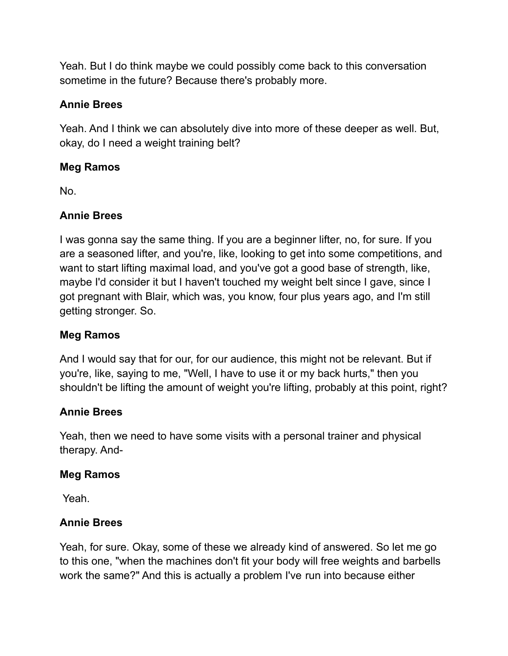Yeah. But I do think maybe we could possibly come back to this conversation sometime in the future? Because there's probably more.

## **Annie Brees**

Yeah. And I think we can absolutely dive into more of these deeper as well. But, okay, do I need a weight training belt?

## **Meg Ramos**

No.

# **Annie Brees**

I was gonna say the same thing. If you are a beginner lifter, no, for sure. If you are a seasoned lifter, and you're, like, looking to get into some competitions, and want to start lifting maximal load, and you've got a good base of strength, like, maybe I'd consider it but I haven't touched my weight belt since I gave, since I got pregnant with Blair, which was, you know, four plus years ago, and I'm still getting stronger. So.

## **Meg Ramos**

And I would say that for our, for our audience, this might not be relevant. But if you're, like, saying to me, "Well, I have to use it or my back hurts," then you shouldn't be lifting the amount of weight you're lifting, probably at this point, right?

## **Annie Brees**

Yeah, then we need to have some visits with a personal trainer and physical therapy. And-

#### **Meg Ramos**

Yeah.

## **Annie Brees**

Yeah, for sure. Okay, some of these we already kind of answered. So let me go to this one, "when the machines don't fit your body will free weights and barbells work the same?" And this is actually a problem I've run into because either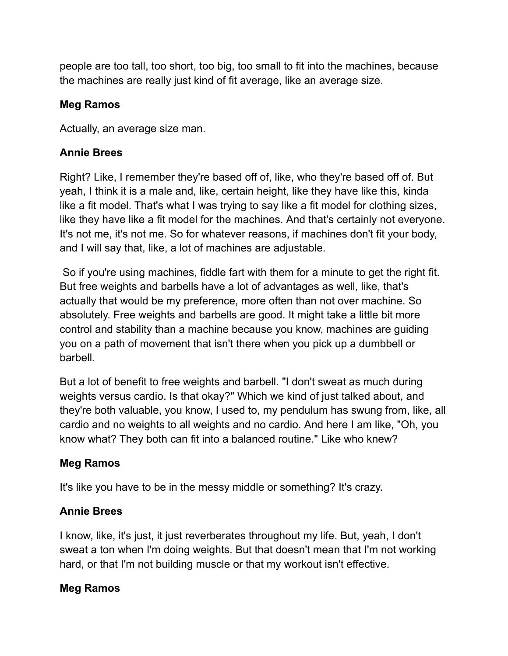people are too tall, too short, too big, too small to fit into the machines, because the machines are really just kind of fit average, like an average size.

#### **Meg Ramos**

Actually, an average size man.

#### **Annie Brees**

Right? Like, I remember they're based off of, like, who they're based off of. But yeah, I think it is a male and, like, certain height, like they have like this, kinda like a fit model. That's what I was trying to say like a fit model for clothing sizes, like they have like a fit model for the machines. And that's certainly not everyone. It's not me, it's not me. So for whatever reasons, if machines don't fit your body, and I will say that, like, a lot of machines are adjustable.

So if you're using machines, fiddle fart with them for a minute to get the right fit. But free weights and barbells have a lot of advantages as well, like, that's actually that would be my preference, more often than not over machine. So absolutely. Free weights and barbells are good. It might take a little bit more control and stability than a machine because you know, machines are guiding you on a path of movement that isn't there when you pick up a dumbbell or barbell.

But a lot of benefit to free weights and barbell. "I don't sweat as much during weights versus cardio. Is that okay?" Which we kind of just talked about, and they're both valuable, you know, I used to, my pendulum has swung from, like, all cardio and no weights to all weights and no cardio. And here I am like, "Oh, you know what? They both can fit into a balanced routine." Like who knew?

## **Meg Ramos**

It's like you have to be in the messy middle or something? It's crazy.

## **Annie Brees**

I know, like, it's just, it just reverberates throughout my life. But, yeah, I don't sweat a ton when I'm doing weights. But that doesn't mean that I'm not working hard, or that I'm not building muscle or that my workout isn't effective.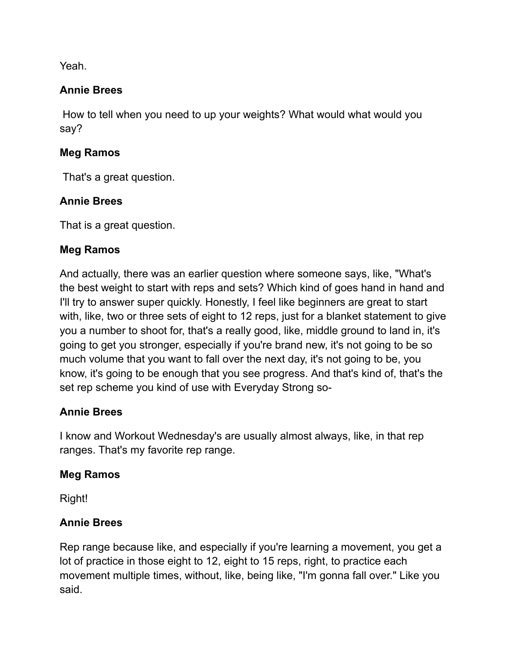Yeah.

#### **Annie Brees**

How to tell when you need to up your weights? What would what would you say?

#### **Meg Ramos**

That's a great question.

## **Annie Brees**

That is a great question.

## **Meg Ramos**

And actually, there was an earlier question where someone says, like, "What's the best weight to start with reps and sets? Which kind of goes hand in hand and I'll try to answer super quickly. Honestly, I feel like beginners are great to start with, like, two or three sets of eight to 12 reps, just for a blanket statement to give you a number to shoot for, that's a really good, like, middle ground to land in, it's going to get you stronger, especially if you're brand new, it's not going to be so much volume that you want to fall over the next day, it's not going to be, you know, it's going to be enough that you see progress. And that's kind of, that's the set rep scheme you kind of use with Everyday Strong so-

## **Annie Brees**

I know and Workout Wednesday's are usually almost always, like, in that rep ranges. That's my favorite rep range.

#### **Meg Ramos**

Right!

## **Annie Brees**

Rep range because like, and especially if you're learning a movement, you get a lot of practice in those eight to 12, eight to 15 reps, right, to practice each movement multiple times, without, like, being like, "I'm gonna fall over." Like you said.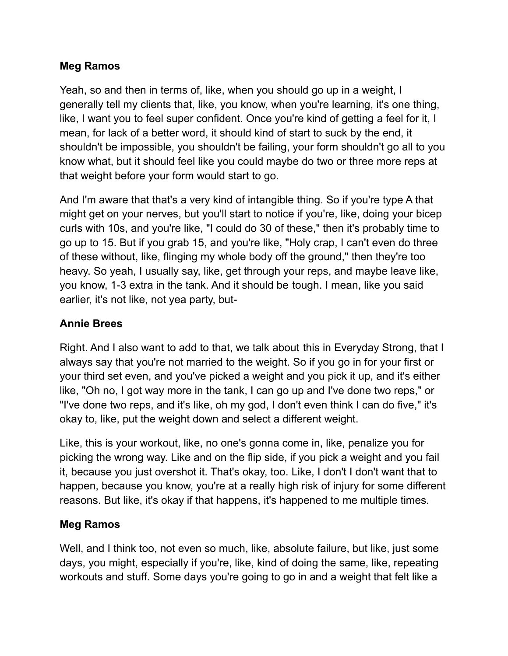#### **Meg Ramos**

Yeah, so and then in terms of, like, when you should go up in a weight, I generally tell my clients that, like, you know, when you're learning, it's one thing, like, I want you to feel super confident. Once you're kind of getting a feel for it, I mean, for lack of a better word, it should kind of start to suck by the end, it shouldn't be impossible, you shouldn't be failing, your form shouldn't go all to you know what, but it should feel like you could maybe do two or three more reps at that weight before your form would start to go.

And I'm aware that that's a very kind of intangible thing. So if you're type A that might get on your nerves, but you'll start to notice if you're, like, doing your bicep curls with 10s, and you're like, "I could do 30 of these," then it's probably time to go up to 15. But if you grab 15, and you're like, "Holy crap, I can't even do three of these without, like, flinging my whole body off the ground," then they're too heavy. So yeah, I usually say, like, get through your reps, and maybe leave like, you know, 1-3 extra in the tank. And it should be tough. I mean, like you said earlier, it's not like, not yea party, but-

# **Annie Brees**

Right. And I also want to add to that, we talk about this in Everyday Strong, that I always say that you're not married to the weight. So if you go in for your first or your third set even, and you've picked a weight and you pick it up, and it's either like, "Oh no, I got way more in the tank, I can go up and I've done two reps," or "I've done two reps, and it's like, oh my god, I don't even think I can do five," it's okay to, like, put the weight down and select a different weight.

Like, this is your workout, like, no one's gonna come in, like, penalize you for picking the wrong way. Like and on the flip side, if you pick a weight and you fail it, because you just overshot it. That's okay, too. Like, I don't I don't want that to happen, because you know, you're at a really high risk of injury for some different reasons. But like, it's okay if that happens, it's happened to me multiple times.

## **Meg Ramos**

Well, and I think too, not even so much, like, absolute failure, but like, just some days, you might, especially if you're, like, kind of doing the same, like, repeating workouts and stuff. Some days you're going to go in and a weight that felt like a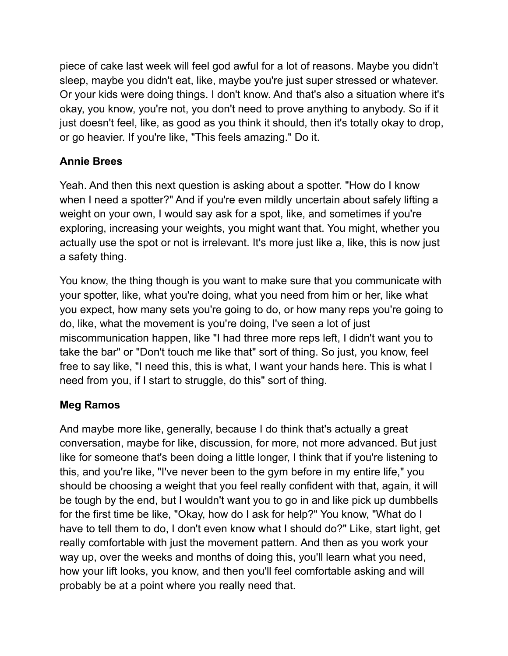piece of cake last week will feel god awful for a lot of reasons. Maybe you didn't sleep, maybe you didn't eat, like, maybe you're just super stressed or whatever. Or your kids were doing things. I don't know. And that's also a situation where it's okay, you know, you're not, you don't need to prove anything to anybody. So if it just doesn't feel, like, as good as you think it should, then it's totally okay to drop, or go heavier. If you're like, "This feels amazing." Do it.

# **Annie Brees**

Yeah. And then this next question is asking about a spotter. "How do I know when I need a spotter?" And if you're even mildly uncertain about safely lifting a weight on your own, I would say ask for a spot, like, and sometimes if you're exploring, increasing your weights, you might want that. You might, whether you actually use the spot or not is irrelevant. It's more just like a, like, this is now just a safety thing.

You know, the thing though is you want to make sure that you communicate with your spotter, like, what you're doing, what you need from him or her, like what you expect, how many sets you're going to do, or how many reps you're going to do, like, what the movement is you're doing, I've seen a lot of just miscommunication happen, like "I had three more reps left, I didn't want you to take the bar" or "Don't touch me like that" sort of thing. So just, you know, feel free to say like, "I need this, this is what, I want your hands here. This is what I need from you, if I start to struggle, do this" sort of thing.

## **Meg Ramos**

And maybe more like, generally, because I do think that's actually a great conversation, maybe for like, discussion, for more, not more advanced. But just like for someone that's been doing a little longer, I think that if you're listening to this, and you're like, "I've never been to the gym before in my entire life," you should be choosing a weight that you feel really confident with that, again, it will be tough by the end, but I wouldn't want you to go in and like pick up dumbbells for the first time be like, "Okay, how do I ask for help?" You know, "What do I have to tell them to do, I don't even know what I should do?" Like, start light, get really comfortable with just the movement pattern. And then as you work your way up, over the weeks and months of doing this, you'll learn what you need, how your lift looks, you know, and then you'll feel comfortable asking and will probably be at a point where you really need that.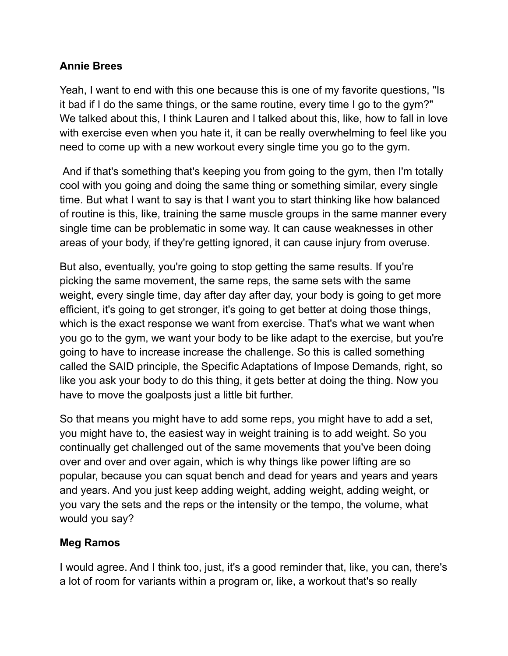#### **Annie Brees**

Yeah, I want to end with this one because this is one of my favorite questions, "Is it bad if I do the same things, or the same routine, every time I go to the gym?" We talked about this, I think Lauren and I talked about this, like, how to fall in love with exercise even when you hate it, it can be really overwhelming to feel like you need to come up with a new workout every single time you go to the gym.

And if that's something that's keeping you from going to the gym, then I'm totally cool with you going and doing the same thing or something similar, every single time. But what I want to say is that I want you to start thinking like how balanced of routine is this, like, training the same muscle groups in the same manner every single time can be problematic in some way. It can cause weaknesses in other areas of your body, if they're getting ignored, it can cause injury from overuse.

But also, eventually, you're going to stop getting the same results. If you're picking the same movement, the same reps, the same sets with the same weight, every single time, day after day after day, your body is going to get more efficient, it's going to get stronger, it's going to get better at doing those things, which is the exact response we want from exercise. That's what we want when you go to the gym, we want your body to be like adapt to the exercise, but you're going to have to increase increase the challenge. So this is called something called the SAID principle, the Specific Adaptations of Impose Demands, right, so like you ask your body to do this thing, it gets better at doing the thing. Now you have to move the goalposts just a little bit further.

So that means you might have to add some reps, you might have to add a set, you might have to, the easiest way in weight training is to add weight. So you continually get challenged out of the same movements that you've been doing over and over and over again, which is why things like power lifting are so popular, because you can squat bench and dead for years and years and years and years. And you just keep adding weight, adding weight, adding weight, or you vary the sets and the reps or the intensity or the tempo, the volume, what would you say?

# **Meg Ramos**

I would agree. And I think too, just, it's a good reminder that, like, you can, there's a lot of room for variants within a program or, like, a workout that's so really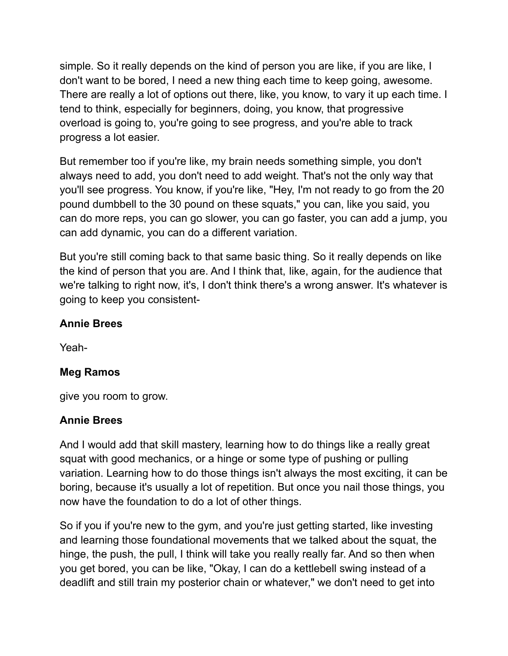simple. So it really depends on the kind of person you are like, if you are like, I don't want to be bored, I need a new thing each time to keep going, awesome. There are really a lot of options out there, like, you know, to vary it up each time. I tend to think, especially for beginners, doing, you know, that progressive overload is going to, you're going to see progress, and you're able to track progress a lot easier.

But remember too if you're like, my brain needs something simple, you don't always need to add, you don't need to add weight. That's not the only way that you'll see progress. You know, if you're like, "Hey, I'm not ready to go from the 20 pound dumbbell to the 30 pound on these squats," you can, like you said, you can do more reps, you can go slower, you can go faster, you can add a jump, you can add dynamic, you can do a different variation.

But you're still coming back to that same basic thing. So it really depends on like the kind of person that you are. And I think that, like, again, for the audience that we're talking to right now, it's, I don't think there's a wrong answer. It's whatever is going to keep you consistent-

#### **Annie Brees**

Yeah-

## **Meg Ramos**

give you room to grow.

#### **Annie Brees**

And I would add that skill mastery, learning how to do things like a really great squat with good mechanics, or a hinge or some type of pushing or pulling variation. Learning how to do those things isn't always the most exciting, it can be boring, because it's usually a lot of repetition. But once you nail those things, you now have the foundation to do a lot of other things.

So if you if you're new to the gym, and you're just getting started, like investing and learning those foundational movements that we talked about the squat, the hinge, the push, the pull, I think will take you really really far. And so then when you get bored, you can be like, "Okay, I can do a kettlebell swing instead of a deadlift and still train my posterior chain or whatever," we don't need to get into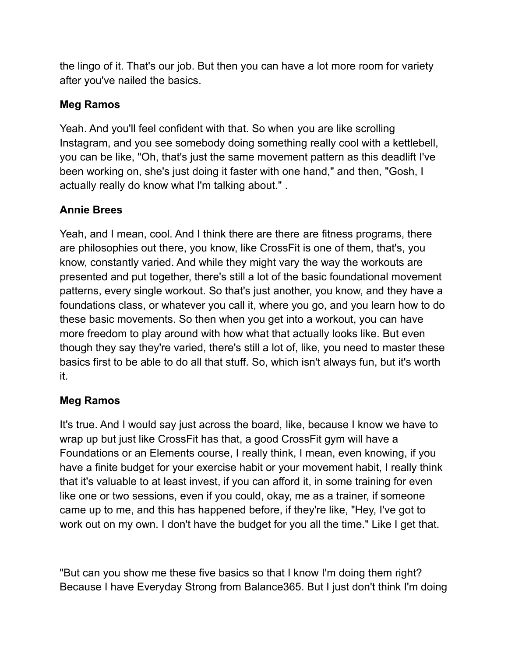the lingo of it. That's our job. But then you can have a lot more room for variety after you've nailed the basics.

# **Meg Ramos**

Yeah. And you'll feel confident with that. So when you are like scrolling Instagram, and you see somebody doing something really cool with a kettlebell, you can be like, "Oh, that's just the same movement pattern as this deadlift I've been working on, she's just doing it faster with one hand," and then, "Gosh, I actually really do know what I'm talking about." .

# **Annie Brees**

Yeah, and I mean, cool. And I think there are there are fitness programs, there are philosophies out there, you know, like CrossFit is one of them, that's, you know, constantly varied. And while they might vary the way the workouts are presented and put together, there's still a lot of the basic foundational movement patterns, every single workout. So that's just another, you know, and they have a foundations class, or whatever you call it, where you go, and you learn how to do these basic movements. So then when you get into a workout, you can have more freedom to play around with how what that actually looks like. But even though they say they're varied, there's still a lot of, like, you need to master these basics first to be able to do all that stuff. So, which isn't always fun, but it's worth it.

## **Meg Ramos**

It's true. And I would say just across the board, like, because I know we have to wrap up but just like CrossFit has that, a good CrossFit gym will have a Foundations or an Elements course, I really think, I mean, even knowing, if you have a finite budget for your exercise habit or your movement habit, I really think that it's valuable to at least invest, if you can afford it, in some training for even like one or two sessions, even if you could, okay, me as a trainer, if someone came up to me, and this has happened before, if they're like, "Hey, I've got to work out on my own. I don't have the budget for you all the time." Like I get that.

"But can you show me these five basics so that I know I'm doing them right? Because I have Everyday Strong from Balance365. But I just don't think I'm doing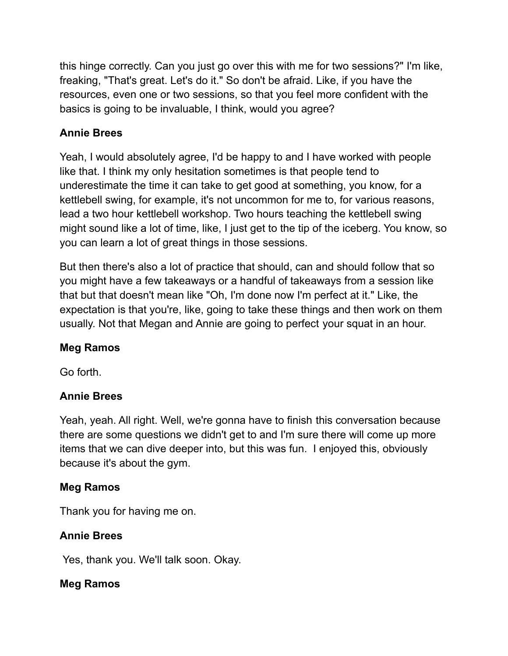this hinge correctly. Can you just go over this with me for two sessions?" I'm like, freaking, "That's great. Let's do it." So don't be afraid. Like, if you have the resources, even one or two sessions, so that you feel more confident with the basics is going to be invaluable, I think, would you agree?

# **Annie Brees**

Yeah, I would absolutely agree, I'd be happy to and I have worked with people like that. I think my only hesitation sometimes is that people tend to underestimate the time it can take to get good at something, you know, for a kettlebell swing, for example, it's not uncommon for me to, for various reasons, lead a two hour kettlebell workshop. Two hours teaching the kettlebell swing might sound like a lot of time, like, I just get to the tip of the iceberg. You know, so you can learn a lot of great things in those sessions.

But then there's also a lot of practice that should, can and should follow that so you might have a few takeaways or a handful of takeaways from a session like that but that doesn't mean like "Oh, I'm done now I'm perfect at it." Like, the expectation is that you're, like, going to take these things and then work on them usually. Not that Megan and Annie are going to perfect your squat in an hour.

## **Meg Ramos**

Go forth.

## **Annie Brees**

Yeah, yeah. All right. Well, we're gonna have to finish this conversation because there are some questions we didn't get to and I'm sure there will come up more items that we can dive deeper into, but this was fun. I enjoyed this, obviously because it's about the gym.

## **Meg Ramos**

Thank you for having me on.

# **Annie Brees**

Yes, thank you. We'll talk soon. Okay.